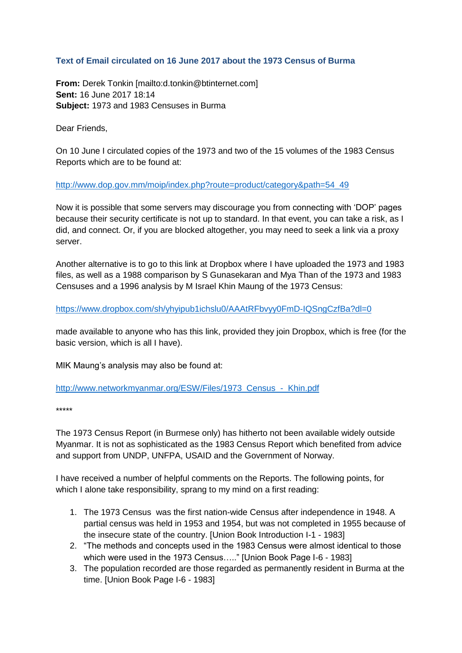## **Text of Email circulated on 16 June 2017 about the 1973 Census of Burma**

**From:** Derek Tonkin [mailto:d.tonkin@btinternet.com] **Sent:** 16 June 2017 18:14 **Subject:** 1973 and 1983 Censuses in Burma

Dear Friends,

On 10 June I circulated copies of the 1973 and two of the 15 volumes of the 1983 Census Reports which are to be found at:

[http://www.dop.gov.mm/moip/index.php?route=product/category&path=54\\_49](http://www.dop.gov.mm/moip/index.php?route=product/category&path=54_49)

Now it is possible that some servers may discourage you from connecting with 'DOP' pages because their security certificate is not up to standard. In that event, you can take a risk, as I did, and connect. Or, if you are blocked altogether, you may need to seek a link via a proxy server.

Another alternative is to go to this link at Dropbox where I have uploaded the 1973 and 1983 files, as well as a 1988 comparison by S Gunasekaran and Mya Than of the 1973 and 1983 Censuses and a 1996 analysis by M Israel Khin Maung of the 1973 Census:

<https://www.dropbox.com/sh/yhyipub1ichslu0/AAAtRFbvyy0FmD-IQSngCzfBa?dl=0>

made available to anyone who has this link, provided they join Dropbox, which is free (for the basic version, which is all I have).

MIK Maung's analysis may also be found at:

http://www.networkmyanmar.org/ESW/Files/1973 Census - Khin.pdf

\*\*\*\*\*

The 1973 Census Report (in Burmese only) has hitherto not been available widely outside Myanmar. It is not as sophisticated as the 1983 Census Report which benefited from advice and support from UNDP, UNFPA, USAID and the Government of Norway.

I have received a number of helpful comments on the Reports. The following points, for which I alone take responsibility, sprang to my mind on a first reading:

- 1. The 1973 Census was the first nation-wide Census after independence in 1948. A partial census was held in 1953 and 1954, but was not completed in 1955 because of the insecure state of the country. [Union Book Introduction I-1 - 1983]
- 2. "The methods and concepts used in the 1983 Census were almost identical to those which were used in the 1973 Census….." [Union Book Page I-6 - 1983]
- 3. The population recorded are those regarded as permanently resident in Burma at the time. [Union Book Page I-6 - 1983]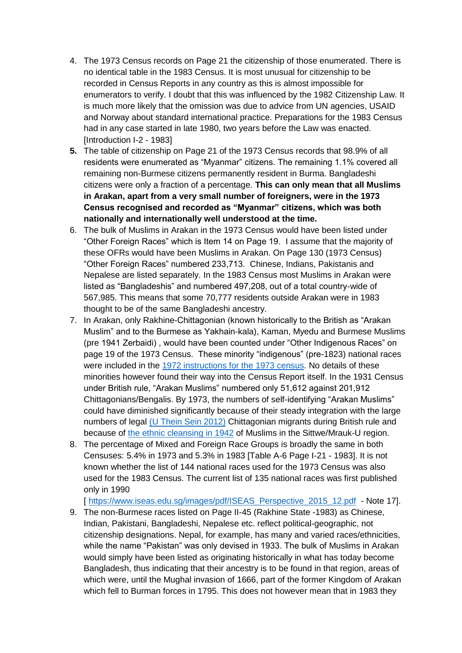- 4. The 1973 Census records on Page 21 the citizenship of those enumerated. There is no identical table in the 1983 Census. It is most unusual for citizenship to be recorded in Census Reports in any country as this is almost impossible for enumerators to verify. I doubt that this was influenced by the 1982 Citizenship Law. It is much more likely that the omission was due to advice from UN agencies, USAID and Norway about standard international practice. Preparations for the 1983 Census had in any case started in late 1980, two years before the Law was enacted. [Introduction I-2 - 1983]
- **5.** The table of citizenship on Page 21 of the 1973 Census records that 98.9% of all residents were enumerated as "Myanmar" citizens. The remaining 1.1% covered all remaining non-Burmese citizens permanently resident in Burma. Bangladeshi citizens were only a fraction of a percentage. **This can only mean that all Muslims in Arakan, apart from a very small number of foreigners, were in the 1973 Census recognised and recorded as "Myanmar" citizens, which was both nationally and internationally well understood at the time.**
- 6. The bulk of Muslims in Arakan in the 1973 Census would have been listed under "Other Foreign Races" which is Item 14 on Page 19. I assume that the majority of these OFRs would have been Muslims in Arakan. On Page 130 (1973 Census) "Other Foreign Races" numbered 233,713. Chinese, Indians, Pakistanis and Nepalese are listed separately. In the 1983 Census most Muslims in Arakan were listed as "Bangladeshis" and numbered 497,208, out of a total country-wide of 567,985. This means that some 70,777 residents outside Arakan were in 1983 thought to be of the same Bangladeshi ancestry.
- 7. In Arakan, only Rakhine-Chittagonian (known historically to the British as "Arakan Muslim" and to the Burmese as Yakhain-kala), Kaman, Myedu and Burmese Muslims (pre 1941 Zerbaidi) , would have been counted under "Other Indigenous Races" on page 19 of the 1973 Census. These minority "indigenous" (pre-1823) national races were included in the [1972 instructions for the 1973 census.](http://www.networkmyanmar.org/ESW/Files/List-of-144-national-races.pdf) No details of these minorities however found their way into the Census Report itself. In the 1931 Census under British rule, "Arakan Muslims" numbered only 51,612 against 201,912 Chittagonians/Bengalis. By 1973, the numbers of self-identifying "Arakan Muslims" could have diminished significantly because of their steady integration with the large numbers of legal [\(U Thein Sein 2012\)](http://www.rfa.org/english/news/rohingya-07122012185242.html/) Chittagonian migrants during British rule and because of [the ethnic cleansing in 1942](http://www.thestateless.com/2016/09/21/the-muslim-massacre-of-arakan-in-1942/) of Muslims in the Sittwe/Mrauk-U region.
- 8. The percentage of Mixed and Foreign Race Groups is broadly the same in both Censuses: 5.4% in 1973 and 5.3% in 1983 [Table A-6 Page I-21 - 1983]. It is not known whether the list of 144 national races used for the 1973 Census was also used for the 1983 Census. The current list of 135 national races was first published only in 1990

[ [https://www.iseas.edu.sg/images/pdf/ISEAS\\_Perspective\\_2015\\_12.pdf](https://www.iseas.edu.sg/images/pdf/ISEAS_Perspective_2015_12.pdf) - Note 17].

9. The non-Burmese races listed on Page II-45 (Rakhine State -1983) as Chinese, Indian, Pakistani, Bangladeshi, Nepalese etc. reflect political-geographic, not citizenship designations. Nepal, for example, has many and varied races/ethnicities, while the name "Pakistan" was only devised in 1933. The bulk of Muslims in Arakan would simply have been listed as originating historically in what has today become Bangladesh, thus indicating that their ancestry is to be found in that region, areas of which were, until the Mughal invasion of 1666, part of the former Kingdom of Arakan which fell to Burman forces in 1795. This does not however mean that in 1983 they